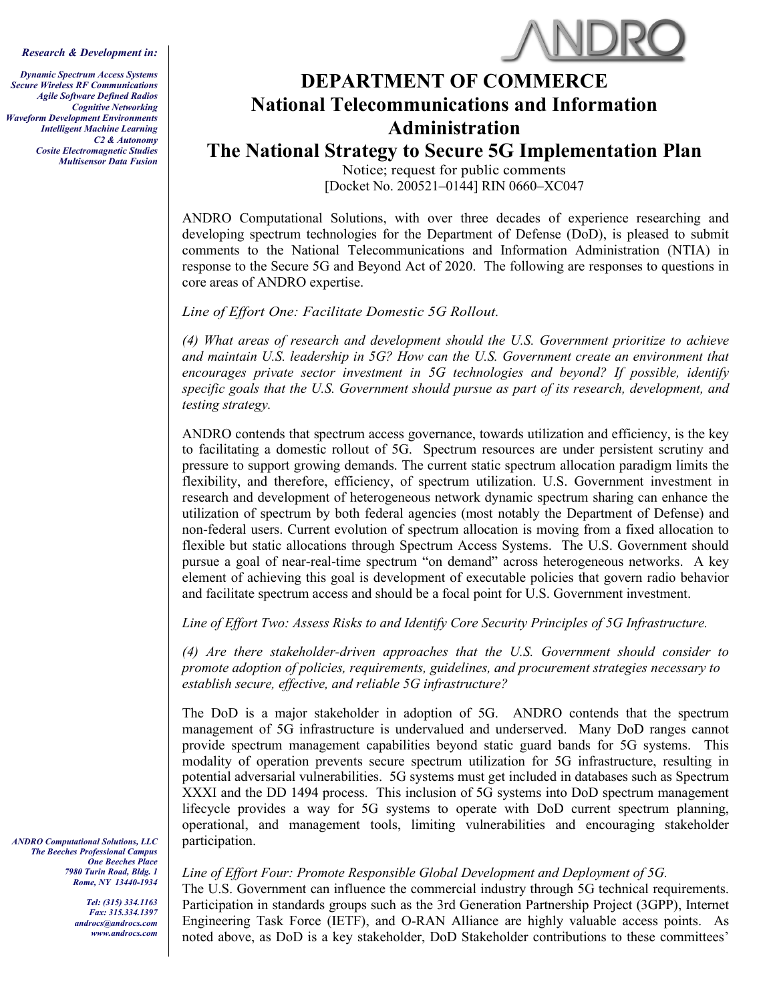*Research & Development in:*

*Dynamic Spectrum Access Systems Secure Wireless RF Communications Agile Software Defined Radios Cognitive Networking Waveform Development Environments Intelligent Machine Learning C2 & Autonomy Cosite Electromagnetic Studies Multisensor Data Fusion*



## **DEPARTMENT OF COMMERCE National Telecommunications and Information Administration**

**The National Strategy to Secure 5G Implementation Plan**

Notice; request for public comments [Docket No. 200521–0144] RIN 0660–XC047

ANDRO Computational Solutions, with over three decades of experience researching and developing spectrum technologies for the Department of Defense (DoD), is pleased to submit comments to the National Telecommunications and Information Administration (NTIA) in response to the Secure 5G and Beyond Act of 2020. The following are responses to questions in core areas of ANDRO expertise.

*Line of Effort One: Facilitate Domestic 5G Rollout.*

*(4) What areas of research and development should the U.S. Government prioritize to achieve and maintain U.S. leadership in 5G? How can the U.S. Government create an environment that encourages private sector investment in 5G technologies and beyond? If possible, identify specific goals that the U.S. Government should pursue as part of its research, development, and testing strategy.*

ANDRO contends that spectrum access governance, towards utilization and efficiency, is the key to facilitating a domestic rollout of 5G. Spectrum resources are under persistent scrutiny and pressure to support growing demands. The current static spectrum allocation paradigm limits the flexibility, and therefore, efficiency, of spectrum utilization. U.S. Government investment in research and development of heterogeneous network dynamic spectrum sharing can enhance the utilization of spectrum by both federal agencies (most notably the Department of Defense) and non-federal users. Current evolution of spectrum allocation is moving from a fixed allocation to flexible but static allocations through Spectrum Access Systems. The U.S. Government should pursue a goal of near-real-time spectrum "on demand" across heterogeneous networks. A key element of achieving this goal is development of executable policies that govern radio behavior and facilitate spectrum access and should be a focal point for U.S. Government investment.

*Line of Effort Two: Assess Risks to and Identify Core Security Principles of 5G Infrastructure.*

*(4) Are there stakeholder-driven approaches that the U.S. Government should consider to promote adoption of policies, requirements, guidelines, and procurement strategies necessary to establish secure, effective, and reliable 5G infrastructure?*

The DoD is a major stakeholder in adoption of 5G. ANDRO contends that the spectrum management of 5G infrastructure is undervalued and underserved. Many DoD ranges cannot provide spectrum management capabilities beyond static guard bands for 5G systems. This modality of operation prevents secure spectrum utilization for 5G infrastructure, resulting in potential adversarial vulnerabilities. 5G systems must get included in databases such as Spectrum XXXI and the DD 1494 process. This inclusion of 5G systems into DoD spectrum management lifecycle provides a way for 5G systems to operate with DoD current spectrum planning, operational, and management tools, limiting vulnerabilities and encouraging stakeholder participation.

*The Beeches Professional Campus One Beeches Place 7980 Turin Road, Bldg. 1 Rome, NY 13440-1934*

> *Tel: (315) 334.1163 Fax: 315.334.1397 androcs@androcs.com [www.androcs.com](http://www.androcs.com/)*

*ANDRO Computational Solutions, LLC*

## *Line of Effort Four: Promote Responsible Global Development and Deployment of 5G.*

The U.S. Government can influence the commercial industry through 5G technical requirements. Participation in standards groups such as the 3rd Generation Partnership Project (3GPP), Internet Engineering Task Force (IETF), and O-RAN Alliance are highly valuable access points. As noted above, as DoD is a key stakeholder, DoD Stakeholder contributions to these committees'